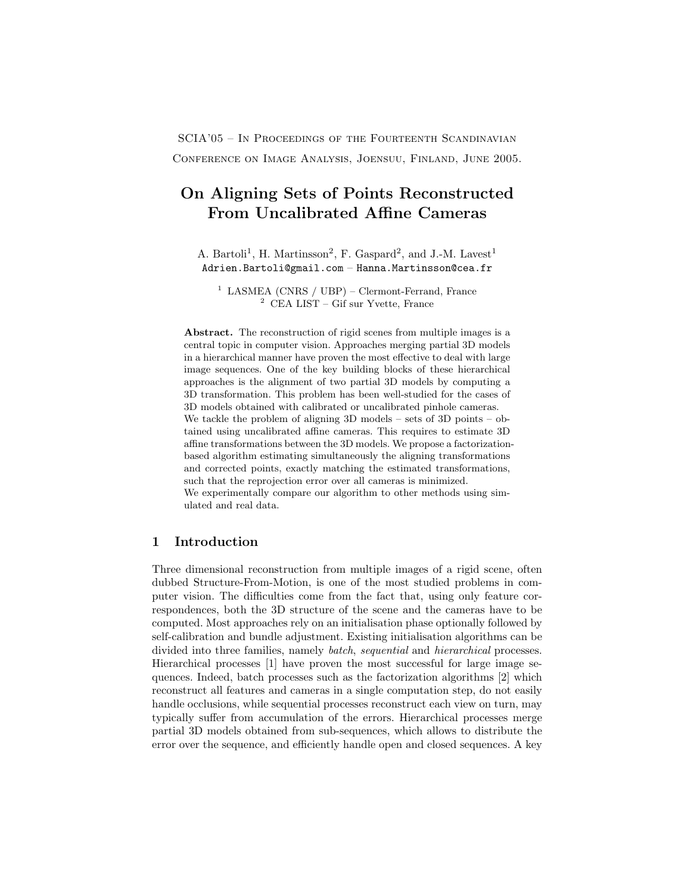SCIA'05 – In Proceedings of the Fourteenth Scandinavian Conference on Image Analysis, Joensuu, Finland, June 2005.

# On Aligning Sets of Points Reconstructed From Uncalibrated Affine Cameras

A. Bartoli<sup>1</sup>, H. Martinsson<sup>2</sup>, F. Gaspard<sup>2</sup>, and J.-M. Lavest<sup>1</sup> Adrien.Bartoli@gmail.com - Hanna.Martinsson@cea.fr

 $1$  LASMEA (CNRS / UBP) – Clermont-Ferrand, France <sup>2</sup> CEA LIST – Gif sur Yvette, France

Abstract. The reconstruction of rigid scenes from multiple images is a central topic in computer vision. Approaches merging partial 3D models in a hierarchical manner have proven the most effective to deal with large image sequences. One of the key building blocks of these hierarchical approaches is the alignment of two partial 3D models by computing a 3D transformation. This problem has been well-studied for the cases of 3D models obtained with calibrated or uncalibrated pinhole cameras. We tackle the problem of aligning 3D models – sets of 3D points – obtained using uncalibrated affine cameras. This requires to estimate 3D affine transformations between the 3D models. We propose a factorizationbased algorithm estimating simultaneously the aligning transformations and corrected points, exactly matching the estimated transformations, such that the reprojection error over all cameras is minimized. We experimentally compare our algorithm to other methods using simulated and real data.

# 1 Introduction

Three dimensional reconstruction from multiple images of a rigid scene, often dubbed Structure-From-Motion, is one of the most studied problems in computer vision. The difficulties come from the fact that, using only feature correspondences, both the 3D structure of the scene and the cameras have to be computed. Most approaches rely on an initialisation phase optionally followed by self-calibration and bundle adjustment. Existing initialisation algorithms can be divided into three families, namely batch, sequential and hierarchical processes. Hierarchical processes [1] have proven the most successful for large image sequences. Indeed, batch processes such as the factorization algorithms [2] which reconstruct all features and cameras in a single computation step, do not easily handle occlusions, while sequential processes reconstruct each view on turn, may typically suffer from accumulation of the errors. Hierarchical processes merge partial 3D models obtained from sub-sequences, which allows to distribute the error over the sequence, and efficiently handle open and closed sequences. A key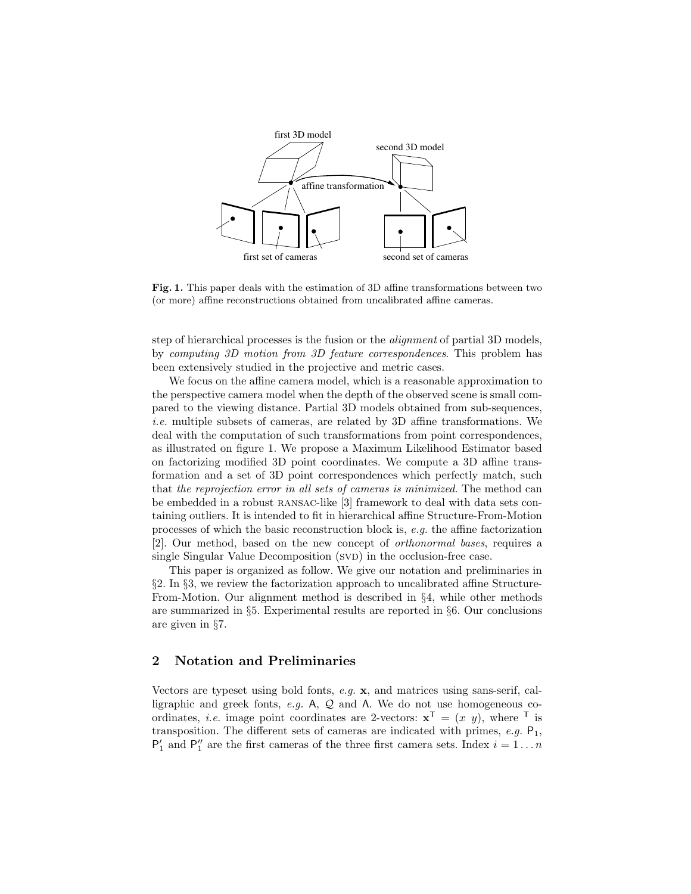

Fig. 1. This paper deals with the estimation of 3D affine transformations between two (or more) affine reconstructions obtained from uncalibrated affine cameras.

step of hierarchical processes is the fusion or the *alignment* of partial 3D models, by computing 3D motion from 3D feature correspondences. This problem has been extensively studied in the projective and metric cases.

We focus on the affine camera model, which is a reasonable approximation to the perspective camera model when the depth of the observed scene is small compared to the viewing distance. Partial 3D models obtained from sub-sequences, i.e. multiple subsets of cameras, are related by 3D affine transformations. We deal with the computation of such transformations from point correspondences, as illustrated on figure 1. We propose a Maximum Likelihood Estimator based on factorizing modified 3D point coordinates. We compute a 3D affine transformation and a set of 3D point correspondences which perfectly match, such that the reprojection error in all sets of cameras is minimized. The method can be embedded in a robust RANSAC-like [3] framework to deal with data sets containing outliers. It is intended to fit in hierarchical affine Structure-From-Motion processes of which the basic reconstruction block is, e.g. the affine factorization [2]. Our method, based on the new concept of orthonormal bases, requires a single Singular Value Decomposition (SVD) in the occlusion-free case.

This paper is organized as follow. We give our notation and preliminaries in §2. In §3, we review the factorization approach to uncalibrated affine Structure-From-Motion. Our alignment method is described in §4, while other methods are summarized in §5. Experimental results are reported in §6. Our conclusions are given in §7.

### 2 Notation and Preliminaries

Vectors are typeset using bold fonts, e.g. x, and matrices using sans-serif, calligraphic and greek fonts,  $e.g.$  A,  $Q$  and  $\Lambda$ . We do not use homogeneous coordinates, *i.e.* image point coordinates are 2-vectors:  $\mathbf{x}^T = (x, y)$ , where <sup>T</sup> is transposition. The different sets of cameras are indicated with primes,  $e.g.$   $P_1$ ,  $P'_1$  and  $P''_1$  are the first cameras of the three first camera sets. Index  $i = 1...n$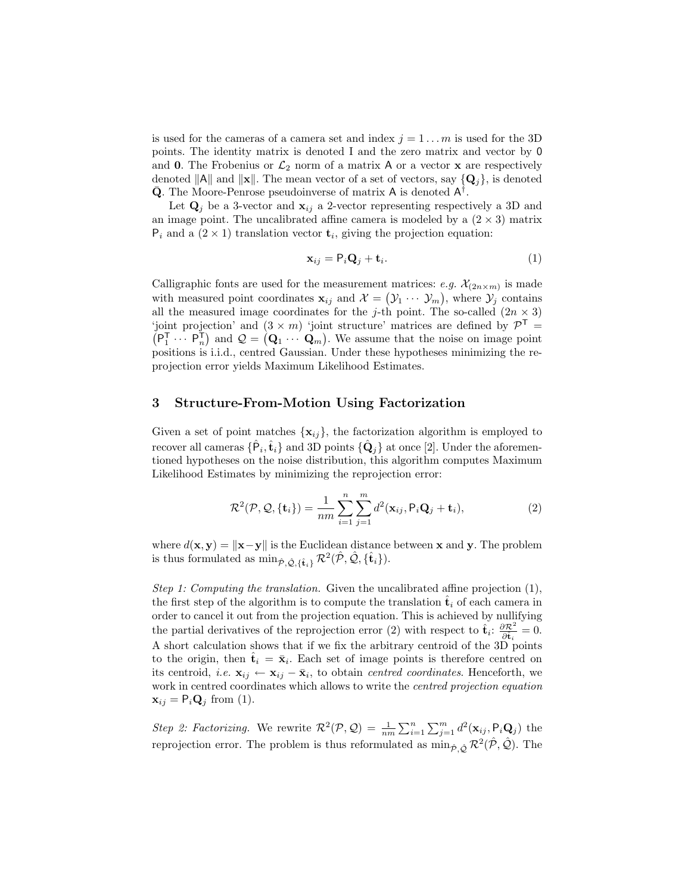is used for the cameras of a camera set and index  $j = 1 \dots m$  is used for the 3D points. The identity matrix is denoted I and the zero matrix and vector by 0 and 0. The Frobenius or  $\mathcal{L}_2$  norm of a matrix A or a vector **x** are respectively denoted  $||A||$  and  $||\mathbf{x}||$ . The mean vector of a set of vectors, say  $\{Q_j\}$ , is denoted  $\bar{Q}$ . The Moore-Penrose pseudoinverse of matrix A is denoted  $A^{\dagger}$ .

Let  $\mathbf{Q}_i$  be a 3-vector and  $\mathbf{x}_{ij}$  a 2-vector representing respectively a 3D and an image point. The uncalibrated affine camera is modeled by a  $(2 \times 3)$  matrix  $P_i$  and a  $(2 \times 1)$  translation vector  $t_i$ , giving the projection equation:

$$
\mathbf{x}_{ij} = \mathsf{P}_i \mathbf{Q}_j + \mathbf{t}_i. \tag{1}
$$

Calligraphic fonts are used for the measurement matrices: e.g.  $\mathcal{X}_{(2n\times m)}$  is made with measured point coordinates  $\mathbf{x}_{ij}$  and  $\mathcal{X} = (\mathcal{Y}_1 \cdots \mathcal{Y}_m)$ , where  $\mathcal{Y}_j$  contains all the measured image coordinates for the j-th point. The so-called  $(2n \times 3)$ 'joint projection' and  $(3 \times m)$  'joint structure' matrices are defined by  $\mathcal{P}^T$  =  $(P_1^{\mathsf{T}} \cdots P_n^{\mathsf{T}})$  and  $\mathcal{Q} = (\mathbf{Q}_1 \cdots \mathbf{Q}_m)$ . We assume that the noise on image point positions is i.i.d., centred Gaussian. Under these hypotheses minimizing the reprojection error yields Maximum Likelihood Estimates.

# 3 Structure-From-Motion Using Factorization

Given a set of point matches  $\{x_{ij}\}\$ , the factorization algorithm is employed to recover all cameras  $\{\hat{\mathsf{P}}_i, \hat{\mathbf{t}}_i\}$  and 3D points  $\{\hat{\mathbf{Q}}_j\}$  at once [2]. Under the aforementioned hypotheses on the noise distribution, this algorithm computes Maximum Likelihood Estimates by minimizing the reprojection error:

$$
\mathcal{R}^2(\mathcal{P}, \mathcal{Q}, \{\mathbf{t}_i\}) = \frac{1}{nm} \sum_{i=1}^n \sum_{j=1}^m d^2(\mathbf{x}_{ij}, \mathsf{P}_i \mathbf{Q}_j + \mathbf{t}_i),
$$
(2)

where  $d(\mathbf{x}, \mathbf{y}) = ||\mathbf{x}-\mathbf{y}||$  is the Euclidean distance between x and y. The problem is thus formulated as  $\min_{\hat{\mathcal{P}}, \hat{\mathcal{Q}}, \{\hat{\mathbf{t}}_i\}} \mathcal{R}^2(\hat{\mathcal{P}}, \hat{\mathcal{Q}}, \{\hat{\mathbf{t}}_i\}).$ 

Step 1: Computing the translation. Given the uncalibrated affine projection  $(1)$ , the first step of the algorithm is to compute the translation  $\hat{\mathbf{t}}_i$  of each camera in order to cancel it out from the projection equation. This is achieved by nullifying the partial derivatives of the reprojection error (2) with respect to  $\hat{\mathbf{t}}_i$ :  $\frac{\partial \mathcal{R}^2}{\partial \hat{\mathbf{t}}}$  $\frac{\partial \mathcal{R}^2}{\partial \hat{\mathbf{t}}_i} = 0.$ A short calculation shows that if we fix the arbitrary centroid of the 3D points to the origin, then  $\hat{\mathbf{t}}_i = \bar{\mathbf{x}}_i$ . Each set of image points is therefore centred on its centroid, *i.e.*  $\mathbf{x}_{ij} \leftarrow \mathbf{x}_{ij} - \bar{\mathbf{x}}_i$ , to obtain *centred coordinates*. Henceforth, we work in centred coordinates which allows to write the *centred projection equation*  $\mathbf{x}_{ij} = \mathsf{P}_i \mathbf{Q}_j$  from (1).

Step 2: Factorizing. We rewrite  $\mathcal{R}^2(\mathcal{P}, \mathcal{Q}) = \frac{1}{nm} \sum_{i=1}^n \sum_{j=1}^m d^2(\mathbf{x}_{ij}, \mathsf{P}_i \mathbf{Q}_j)$  the reprojection error. The problem is thus reformulated as  $\min_{\hat{\mathcal{P}}, \hat{\mathcal{Q}}} \mathcal{R}^2(\hat{\mathcal{P}}, \hat{\mathcal{Q}})$ . The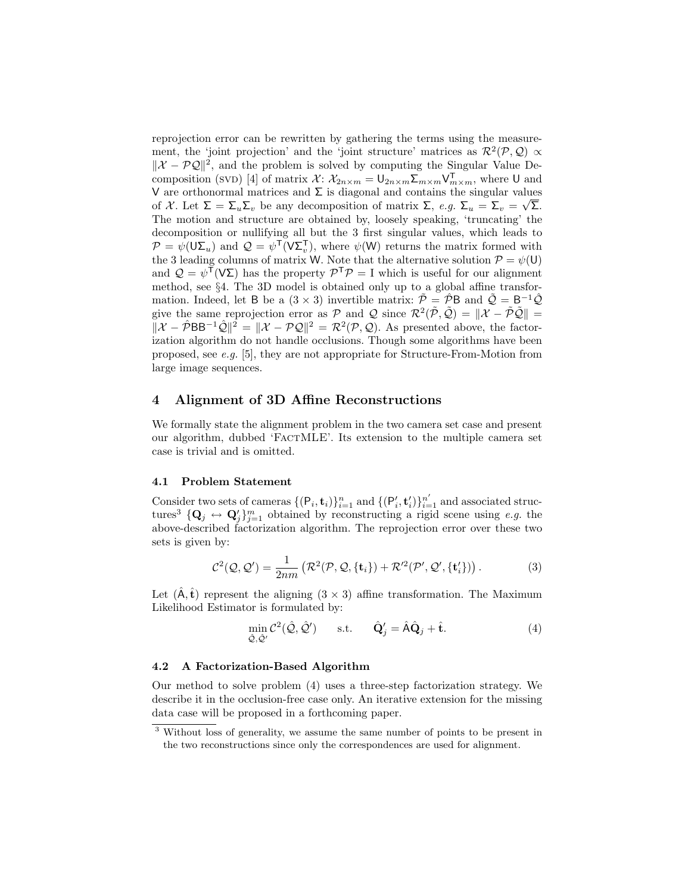reprojection error can be rewritten by gathering the terms using the measurement, the 'joint projection' and the 'joint structure' matrices as  $\mathcal{R}^2(\mathcal{P}, \mathcal{Q}) \propto$  $\|\mathcal{X} - \mathcal{P}\mathcal{Q}\|^2$ , and the problem is solved by computing the Singular Value Decomposition (SVD) [4] of matrix  $\mathcal{X}$ :  $\mathcal{X}_{2n \times m} = \bigcup_{2n \times m} \sum_{m \times m} \bigvee_{m \times m}^{\mathsf{T}}$ , where U and V are orthonormal matrices and  $\Sigma$  is diagonal and contains the singular values of X. Let  $\Sigma = \Sigma_u \Sigma_v$  be any decomposition of matrix  $\Sigma$ ,  $e.g. \Sigma_u = \Sigma_v = \sqrt{\Sigma}$ . The motion and structure are obtained by, loosely speaking, 'truncating' the decomposition or nullifying all but the 3 first singular values, which leads to  $\mathcal{P} = \psi(\mathsf{U}\Sigma_u)$  and  $\mathcal{Q} = \psi^{\mathsf{T}}(\mathsf{V}\Sigma_v^{\mathsf{T}})$ , where  $\psi(\mathsf{W})$  returns the matrix formed with  $\mathcal{V} = \mathcal{V}(\mathsf{O}\mathsf{Z}_u)$  and  $\mathcal{Q} = \mathcal{V}(\mathsf{V}\mathsf{Z}_v)$ , where  $\mathcal{V}(\mathsf{W})$  returns the matrix formed with the 3 leading columns of matrix W. Note that the alternative solution  $\mathcal{P} = \mathcal{V}(\mathsf{U})$ and  $\mathcal{Q} = \psi^{\mathsf{T}}(\mathsf{V}\Sigma)$  has the property  $\mathcal{P}^{\mathsf{T}}\mathcal{P} = I$  which is useful for our alignment method, see §4. The 3D model is obtained only up to a global affine transformation. Indeed, let B be a  $(3 \times 3)$  invertible matrix:  $\tilde{\mathcal{P}} = \hat{\mathcal{P}}B$  and  $\tilde{\mathcal{Q}} = B^{-1}\hat{\mathcal{Q}}$ give the same reprojection error as  $P$  and  $Q$  since  $\mathcal{R}^2(\tilde{P}, \tilde{Q}) = ||\mathcal{X} - \tilde{P}\tilde{Q}|| =$  $\|\mathcal{X} - \hat{\mathcal{P}}BB^{-1}\hat{\mathcal{Q}}\|^2 = \|\mathcal{X} - \mathcal{P}\mathcal{Q}\|^2 = \mathcal{R}^2(\mathcal{P}, \mathcal{Q})$ . As presented above, the factorization algorithm do not handle occlusions. Though some algorithms have been proposed, see e.g. [5], they are not appropriate for Structure-From-Motion from large image sequences.

## 4 Alignment of 3D Affine Reconstructions

We formally state the alignment problem in the two camera set case and present our algorithm, dubbed 'FactMLE'. Its extension to the multiple camera set case is trivial and is omitted.

#### 4.1 Problem Statement

Consider two sets of cameras  $\{(\mathsf{P}_i, \mathbf{t}_i)\}_{i=1}^n$  and  $\{(\mathsf{P}'_i, \mathbf{t}'_i)\}_{i=1}^{n'}$  and associated structures<sup>3</sup>  $\{Q_j \leftrightarrow Q'_j\}_{j=1}^m$  obtained by reconstructing a rigid scene using e.g. the above-described factorization algorithm. The reprojection error over these two sets is given by:

$$
\mathcal{C}^2(\mathcal{Q}, \mathcal{Q}') = \frac{1}{2nm} \left( \mathcal{R}^2(\mathcal{P}, \mathcal{Q}, \{\mathbf{t}_i\}) + \mathcal{R}'^2(\mathcal{P}', \mathcal{Q}', \{\mathbf{t}'_i\}) \right). \tag{3}
$$

Let  $(\hat{\mathsf{A}}, \hat{\mathsf{t}})$  represent the aligning  $(3 \times 3)$  affine transformation. The Maximum Likelihood Estimator is formulated by:

$$
\min_{\hat{\mathcal{Q}}, \hat{\mathcal{Q}}'} \mathcal{C}^2(\hat{\mathcal{Q}}, \hat{\mathcal{Q}}') \quad \text{s.t.} \quad \hat{\mathbf{Q}}'_j = \hat{\mathbf{A}} \hat{\mathbf{Q}}_j + \hat{\mathbf{t}}.
$$
\n(4)

#### 4.2 A Factorization-Based Algorithm

Our method to solve problem (4) uses a three-step factorization strategy. We describe it in the occlusion-free case only. An iterative extension for the missing data case will be proposed in a forthcoming paper.

<sup>3</sup> Without loss of generality, we assume the same number of points to be present in the two reconstructions since only the correspondences are used for alignment.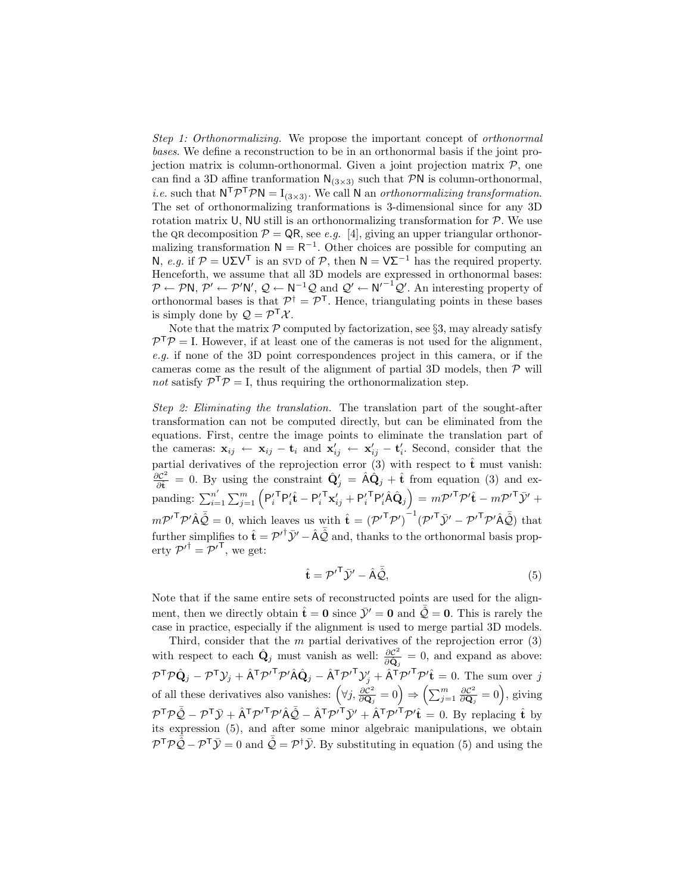Step 1: Orthonormalizing. We propose the important concept of orthonormal bases. We define a reconstruction to be in an orthonormal basis if the joint projection matrix is column-orthonormal. Given a joint projection matrix  $P$ , one can find a 3D affine tranformation  $N_{(3\times3)}$  such that PN is column-orthonormal, *i.e.* such that  $N^T \mathcal{P}^T \mathcal{P} N = I_{(3 \times 3)}$ . We call N an *orthonormalizing transformation*. The set of orthonormalizing tranformations is 3-dimensional since for any 3D rotation matrix U, NU still is an orthonormalizing transformation for  $P$ . We use the QR decomposition  $\mathcal{P} = \mathsf{QR}$ , see e.g. [4], giving an upper triangular orthonormalizing transformation  $N = R^{-1}$ . Other choices are possible for computing an N, *e.g.* if  $\mathcal{P} = U\Sigma V^{\mathsf{T}}$  is an SVD of  $\mathcal{P}$ , then  $\mathsf{N} = \mathsf{V}\Sigma^{-1}$  has the required property. Henceforth, we assume that all 3D models are expressed in orthonormal bases:  $P \leftarrow P \mathsf{N}, P' \leftarrow P' \mathsf{N}', Q \leftarrow \mathsf{N}^{-1} Q$  and  $Q' \leftarrow \mathsf{N}'^{-1} Q'$ . An interesting property of orthonormal bases is that  $\mathcal{P}^{\dagger} = \mathcal{P}^{T}$ . Hence, triangulating points in these bases is simply done by  $\mathcal{Q} = \mathcal{P}^{\mathsf{T}} \mathcal{X}$ .

Note that the matrix  $P$  computed by factorization, see §3, may already satisfy  $P^{\mathsf{T}}P = I$ . However, if at least one of the cameras is not used for the alignment, e.g. if none of the 3D point correspondences project in this camera, or if the cameras come as the result of the alignment of partial 3D models, then  $\mathcal P$  will not satisfy  $\mathcal{P}^{\mathsf{T}}\mathcal{P} = I$ , thus requiring the orthonormalization step.

Step 2: Eliminating the translation. The translation part of the sought-after transformation can not be computed directly, but can be eliminated from the equations. First, centre the image points to eliminate the translation part of the cameras:  $\mathbf{x}_{ij} \leftarrow \mathbf{x}_{ij} - \mathbf{t}_i$  and  $\mathbf{x}'_{ij} \leftarrow \mathbf{x}'_{ij} - \mathbf{t}'_i$ . Second, consider that the partial derivatives of the reprojection error (3) with respect to  $\hat{\mathbf{t}}$  must vanish:  $\partial {\cal C}^2$  $\frac{\partial \mathcal{C}^2}{\partial \hat{\mathbf{t}}} = 0$ . By using the constraint  $\hat{\mathbf{Q}}'_j = \hat{\mathbf{A}} \hat{\mathbf{Q}}_j + \hat{\mathbf{t}}$  from equation (3) and expanding:  $\sum_{i=1}^{n'}$  $\sum_{i=1}^{n'}\sum_{j=1}^{m}\left(\mathsf{P}_{i}^{\prime\, \mathsf{T}}\mathsf{P}_{i}^{\prime}\hat{\mathbf{t}}-\mathsf{P}_{i}^{\prime\, \mathsf{T}}\mathbf{x}_{ij}^{\prime}+\mathsf{P}_{i}^{\prime\, \mathsf{T}}\mathsf{P}_{i}^{\prime}\hat{\mathsf{A}}\hat{\mathbf{Q}}_{j}\right)\,=\,m\mathcal{P}^{\prime\, \mathsf{T}}\mathcal{P}^{\prime}\hat{\mathbf{t}}-m\mathcal{P}^{\prime\, \mathsf{T}}\bar{\mathcal{Y}}^{\prime}+$  $m \mathcal{P}'^{\mathsf{T}} \mathcal{P}' \hat{\mathsf{A}} \bar{\hat{\mathcal{Q}}} = 0$ , which leaves us with  $\hat{\mathbf{t}} = (\mathcal{P}'^{\mathsf{T}} \mathcal{P}')^{-1} (\mathcal{P}'^{\mathsf{T}} \bar{\mathcal{Y}}' - {\mathcal{P}'}^{\mathsf{T}} \mathcal{P}' \hat{\mathsf{A}} \bar{\hat{\mathcal{Q}}}')$  that further simplifies to  $\hat{\mathbf{t}} = \mathcal{P}'^{\dagger} \bar{\mathcal{Y}}' - \hat{\mathsf{A}} \bar{\hat{\mathcal{Q}}}$  and, thanks to the orthonormal basis property  $\mathcal{P'}^{\dagger} = \mathcal{P'}^{\mathsf{T}}$ , we get:

$$
\hat{\mathbf{t}} = \mathcal{P}'^{\mathsf{T}} \bar{\mathcal{Y}}' - \hat{\mathbf{A}} \bar{\mathcal{Q}},\tag{5}
$$

Note that if the same entire sets of reconstructed points are used for the alignment, then we directly obtain  $\hat{\mathbf{t}} = \mathbf{0}$  since  $\bar{\mathcal{Y}}' = \mathbf{0}$  and  $\hat{\mathcal{Q}} = \mathbf{0}$ . This is rarely the case in practice, especially if the alignment is used to merge partial 3D models.

Third, consider that the  $m$  partial derivatives of the reprojection error  $(3)$ with respect to each  $\hat{\mathbf{Q}}_j$  must vanish as well:  $\frac{\partial \mathcal{C}^2}{\partial \hat{\mathbf{Q}}}$  $\frac{\partial \mathcal{C}^2}{\partial \hat{\mathbf{Q}}_j} = 0$ , and expand as above:  $\mathcal{P}^{\mathsf{T}} \mathcal{P} \hat{\mathbf{Q}}_j - \mathcal{P}^{\mathsf{T}} \mathcal{Y}_j + \hat{\mathsf{A}}^{\mathsf{T}} \mathcal{P}'^{\mathsf{T}} \mathcal{P}' \hat{\mathsf{A}} \hat{\mathbf{Q}}_j - \hat{\mathsf{A}}^{\mathsf{T}} \mathcal{P}'^{\mathsf{T}} \mathcal{Y}'_j + \hat{\mathsf{A}}^{\mathsf{T}} \mathcal{P}'^{\mathsf{T}} \mathcal{P}' \hat{\mathbf{t}} = 0$ . The sum over  $j$ of all these derivatives also vanishes:  $(\forall j, \frac{\partial \mathcal{C}^2}{\partial \mathbf{O}})$  $\frac{\partial \mathcal{C}^2}{\partial \mathbf{Q}_j} = 0$   $\Rightarrow$   $\left(\sum_{j=1}^m \frac{\partial \mathcal{C}^2}{\partial \mathbf{Q}_j}\right)$  $\frac{\partial \mathcal{C}^2}{\partial \mathbf{Q}_j} = 0$ , giving  $\mathcal{P}^{\mathsf{T}}\mathcal{P}\bar{\mathcal{Q}} - \mathcal{P}^{\mathsf{T}}\bar{\mathcal{Y}} + \hat{\mathsf{A}}^{\mathsf{T}}\mathcal{P}'\hat{\mathsf{A}}\bar{\mathcal{Q}} - \hat{\mathsf{A}}^{\mathsf{T}}\mathcal{P}'^{\mathsf{T}}\bar{\mathcal{Y}}' + \hat{\mathsf{A}}^{\mathsf{T}}\mathcal{P}'^{\mathsf{T}}\mathcal{P}'\hat{\mathbf{t}} = 0$ . By replacing  $\hat{\mathbf{t}}$  by its expression (5), and after some minor algebraic manipulations, we obtain  $\mathcal{P}^{\mathsf{T}} \mathcal{P} \overline{\hat{\mathcal{Q}}} - \mathcal{P}^{\mathsf{T}} \overline{\mathcal{Y}} = 0$  and  $\overline{\hat{\mathcal{Q}}} = \mathcal{P}^{\dagger} \overline{\mathcal{Y}}$ . By substituting in equation (5) and using the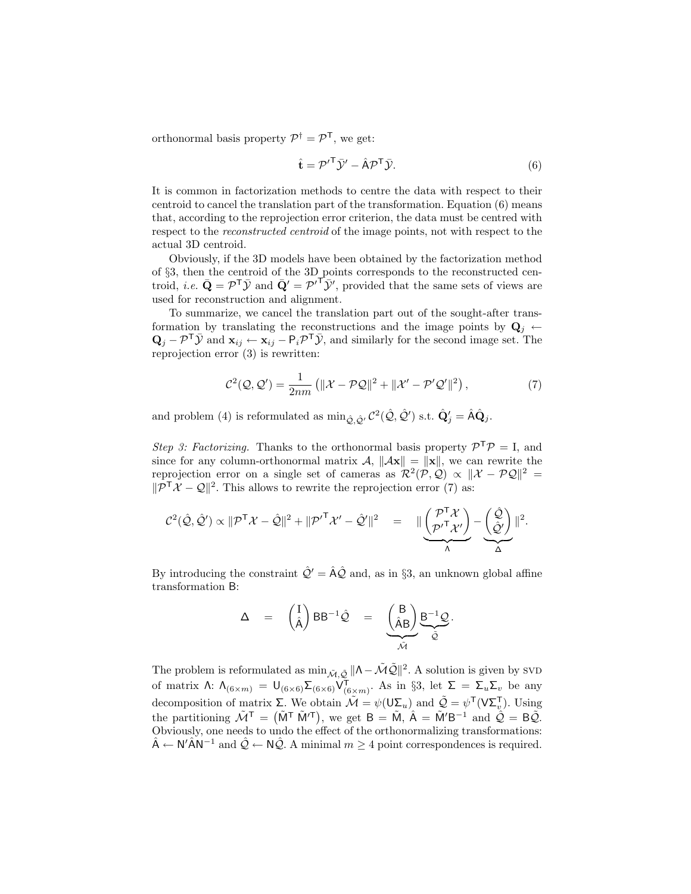orthonormal basis property  $\mathcal{P}^{\dagger} = \mathcal{P}^{\mathsf{T}}$ , we get:

$$
\hat{\mathbf{t}} = \mathcal{P}'^{\mathsf{T}} \bar{\mathcal{Y}}' - \hat{\mathbf{A}} \mathcal{P}^{\mathsf{T}} \bar{\mathcal{Y}}.
$$
\n(6)

It is common in factorization methods to centre the data with respect to their centroid to cancel the translation part of the transformation. Equation (6) means that, according to the reprojection error criterion, the data must be centred with respect to the *reconstructed centroid* of the image points, not with respect to the actual 3D centroid.

Obviously, if the 3D models have been obtained by the factorization method of §3, then the centroid of the 3D points corresponds to the reconstructed centroid, *i.e.*  $\bar{\mathbf{Q}} = \mathcal{P}^{\mathsf{T}} \bar{\mathcal{Y}}$  and  $\bar{\mathbf{Q}}' = {\mathcal{P}'}^{\mathsf{T}} \bar{\mathcal{Y}}'$ , provided that the same sets of views are used for reconstruction and alignment.

To summarize, we cancel the translation part out of the sought-after transformation by translating the reconstructions and the image points by  $\mathbf{Q}_i \leftarrow$  $\mathbf{Q}_j - \mathcal{P}^\mathsf{T} \bar{\mathcal{Y}}$  and  $\mathbf{x}_{ij} \leftarrow \mathbf{x}_{ij} - \mathsf{P}_i \mathcal{P}^\mathsf{T} \bar{\mathcal{Y}}$ , and similarly for the second image set. The reprojection error (3) is rewritten:

$$
\mathcal{C}^2(\mathcal{Q}, \mathcal{Q}') = \frac{1}{2nm} \left( \|\mathcal{X} - \mathcal{P}\mathcal{Q}\|^2 + \|\mathcal{X}' - \mathcal{P}'\mathcal{Q}'\|^2 \right),\tag{7}
$$

and problem (4) is reformulated as  $\min_{\hat{Q}, \hat{Q}'} C^2(\hat{Q}, \hat{Q}')$  s.t.  $\hat{Q}'_j = \hat{A}\hat{Q}_j$ .

Step 3: Factorizing. Thanks to the orthonormal basis property  $\mathcal{P}^{\mathsf{T}}\mathcal{P} = I$ , and since for any column-orthonormal matrix  $\mathcal{A}, \|\mathcal{A}\mathbf{x}\| = \|\mathbf{x}\|$ , we can rewrite the reprojection error on a single set of cameras as  $\mathcal{R}^2(\mathcal{P}, \mathcal{Q}) \propto ||\mathcal{X} - \mathcal{P}\mathcal{Q}||^2 =$  $\|\mathcal{P}^\mathsf{T}\mathcal{X} - \mathcal{Q}\|^2$ . This allows to rewrite the reprojection error (7) as:

$$
\mathcal{C}^2(\hat{\mathcal{Q}},\hat{\mathcal{Q}}')\propto \|\mathcal{P}^{\mathsf{T}}\mathcal{X}-\hat{\mathcal{Q}}\|^2+\|\mathcal{P'}^{\mathsf{T}}\mathcal{X}'-\hat{\mathcal{Q}}'\|^2\quad =\quad \mathbb{I}\underbrace{\begin{pmatrix} \mathcal{P}^{\mathsf{T}}\mathcal{X} \\ \mathcal{P'}^{\mathsf{T}}\mathcal{X}'\end{pmatrix}}_{\Lambda}-\underbrace{\begin{pmatrix} \hat{\mathcal{Q}} \\ \hat{\mathcal{Q}}'\end{pmatrix}}_{\Delta}\|^2.
$$

By introducing the constraint  $\hat{Q}' = \hat{A}\hat{Q}$  and, as in §3, an unknown global affine transformation B:

$$
\Delta = \begin{pmatrix} I \\ \hat{A} \end{pmatrix} BB^{-1} \hat{Q} = \underbrace{\begin{pmatrix} B \\ \hat{A}B \end{pmatrix}}_{\tilde{\mathcal{M}}} \underbrace{B^{-1} \mathcal{Q}}_{\tilde{Q}}.
$$

The problem is reformulated as  $\min_{\tilde{\mathcal{M}},\tilde{\mathcal{Q}}} ||\Lambda-\tilde{\mathcal{M}}\tilde{\mathcal{Q}}||^2$ . A solution is given by SVD of matrix  $\Lambda: \Lambda_{(6 \times m)} = \bigcup_{(6 \times 6)} \Sigma_{(6 \times 6)} \bigvee_{(6 \times m)}^{\mathsf{T}}$ . As in §3, let  $\Sigma = \Sigma_u \Sigma_v$  be any decomposition of matrix  $\Sigma$ . We obtain  $\mathcal{\tilde{M}} = \psi(\mathsf{U}\Sigma_u)$  and  $\mathcal{\tilde{Q}} = \psi^{\mathsf{T}}(\mathsf{V}\Sigma_v^{\mathsf{T}})$ . Using the partitioning  $\tilde{\mathcal{M}}^{\mathsf{T}} = (\tilde{\mathsf{M}}^{\mathsf{T}} \tilde{\mathsf{M}}'^{\mathsf{T}})$ , we get  $\mathsf{B} = \tilde{\mathsf{M}}$ ,  $\hat{\mathsf{A}} = \tilde{\mathsf{M}}' \mathsf{B}^{-1}$  and  $\tilde{\mathcal{Q}} = \mathsf{B}\tilde{\mathcal{Q}}$ . Obviously, one needs to undo the effect of the orthonormalizing transformations:  $\hat{A} \leftarrow N'\hat{A}N^{-1}$  and  $\hat{Q} \leftarrow N\hat{Q}$ . A minimal  $m \geq 4$  point correspondences is required.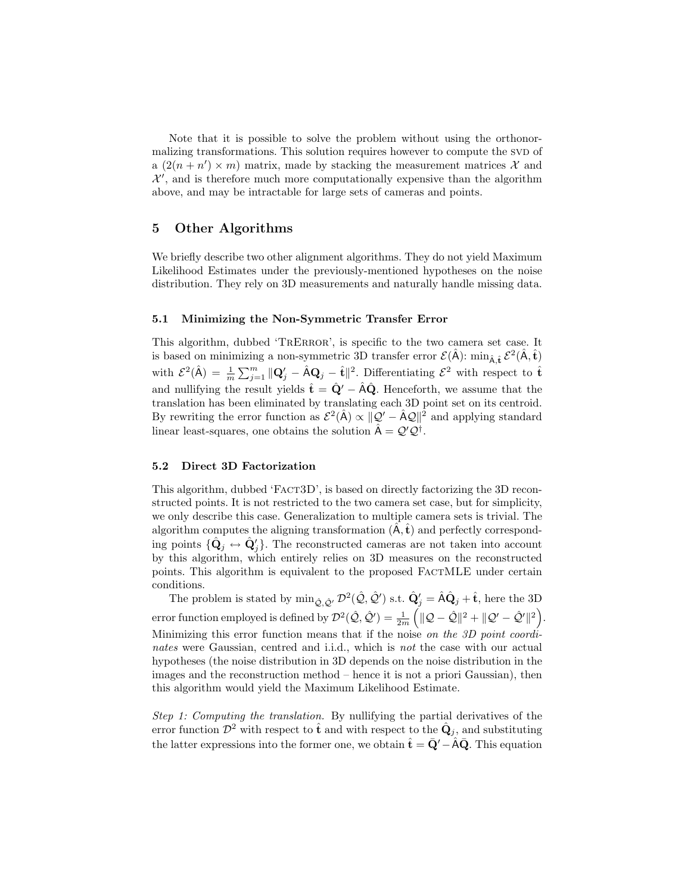Note that it is possible to solve the problem without using the orthonormalizing transformations. This solution requires however to compute the SVD of a  $(2(n+n')\times m)$  matrix, made by stacking the measurement matrices X and  $\mathcal{X}'$ , and is therefore much more computationally expensive than the algorithm above, and may be intractable for large sets of cameras and points.

## 5 Other Algorithms

We briefly describe two other alignment algorithms. They do not yield Maximum Likelihood Estimates under the previously-mentioned hypotheses on the noise distribution. They rely on 3D measurements and naturally handle missing data.

#### 5.1 Minimizing the Non-Symmetric Transfer Error

This algorithm, dubbed 'TrError', is specific to the two camera set case. It is based on minimizing a non-symmetric 3D transfer error  $\mathcal{E}(\hat{A})$ :  $\min_{\hat{A},\hat{t}} \mathcal{E}^2(\hat{A},\hat{t})$ with  $\mathcal{E}^2(\hat{A}) = \frac{1}{m} \sum_{j=1}^m ||\mathbf{Q}'_j - \hat{A}\mathbf{Q}_j - \hat{t}||^2$ . Differentiating  $\mathcal{E}^2$  with respect to  $\hat{\mathbf{t}}$ and nullifying the result yields  $\hat{\mathbf{t}} = \hat{\mathbf{Q}}' - \hat{\mathbf{A}}\hat{\mathbf{Q}}$ . Henceforth, we assume that the translation has been eliminated by translating each 3D point set on its centroid. By rewriting the error function as  $\mathcal{E}^2(\hat{A}) \propto ||\mathcal{Q}' - \hat{A}\mathcal{Q}||^2$  and applying standard linear least-squares, one obtains the solution  $\hat{A} = Q'Q^{\dagger}$ .

#### 5.2 Direct 3D Factorization

This algorithm, dubbed 'FACT3D', is based on directly factorizing the 3D reconstructed points. It is not restricted to the two camera set case, but for simplicity, we only describe this case. Generalization to multiple camera sets is trivial. The algorithm computes the aligning transformation  $(\hat{\mathbf{A}}, \hat{\mathbf{t}})$  and perfectly corresponding points  $\{\hat{\mathbf{Q}}_j \leftrightarrow \hat{\mathbf{Q}}'_j\}$ . The reconstructed cameras are not taken into account by this algorithm, which entirely relies on 3D measures on the reconstructed points. This algorithm is equivalent to the proposed FactMLE under certain conditions.

The problem is stated by  $\min_{\hat{Q}, \hat{Q}'} \mathcal{D}^2(\hat{Q}, \hat{Q}')$  s.t.  $\hat{Q}'_j = \hat{A}\hat{Q}_j + \hat{t}$ , here the 3D error function employed is defined by  $\mathcal{D}^2(\hat{\mathcal{Q}}, \hat{\mathcal{Q}}') = \frac{1}{2m} \left( \|\mathcal{Q} - \hat{\mathcal{Q}}\|^2 + \|\mathcal{Q}' - \hat{\mathcal{Q}}'\|^2 \right)$ . Minimizing this error function means that if the noise on the 3D point coordinates were Gaussian, centred and i.i.d., which is not the case with our actual hypotheses (the noise distribution in 3D depends on the noise distribution in the images and the reconstruction method – hence it is not a priori Gaussian), then this algorithm would yield the Maximum Likelihood Estimate.

Step 1: Computing the translation. By nullifying the partial derivatives of the error function  $\mathcal{D}^2$  with respect to  $\hat{\mathbf{t}}$  and with respect to the  $\hat{\mathbf{Q}}_j$ , and substituting the latter expressions into the former one, we obtain  $\hat{\mathbf{t}} = \bar{\mathbf{Q}}' - \hat{\mathbf{A}}\bar{\mathbf{Q}}$ . This equation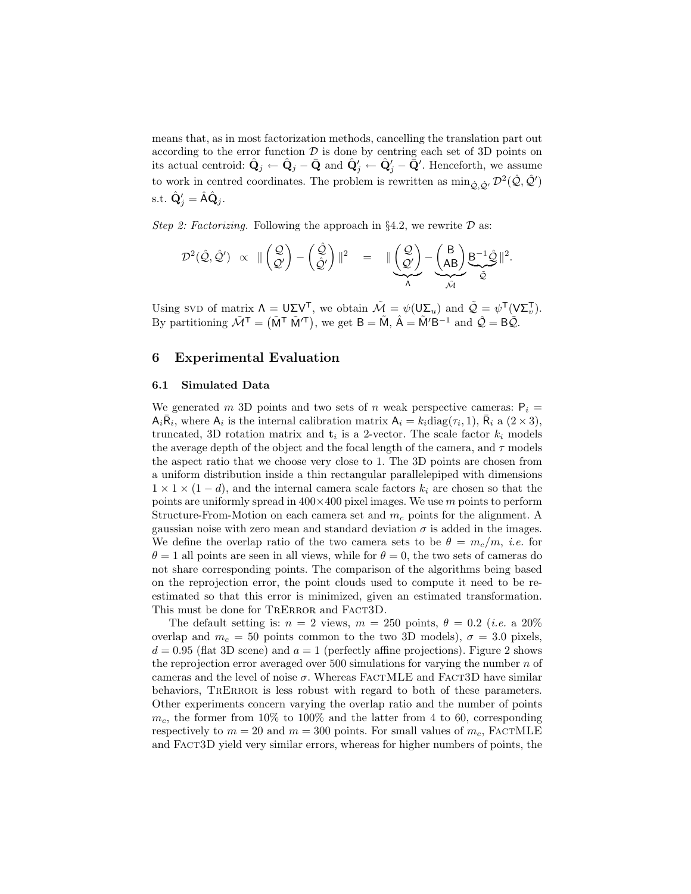means that, as in most factorization methods, cancelling the translation part out according to the error function  $D$  is done by centring each set of 3D points on its actual centroid:  $\hat{\mathbf{Q}}_j \leftarrow \hat{\mathbf{Q}}_j - \bar{\mathbf{Q}}$  and  $\hat{\mathbf{Q}}'_j \leftarrow \hat{\mathbf{Q}}'_j - \bar{\bar{\mathbf{Q}}}'$ . Henceforth, we assume to work in centred coordinates. The problem is rewritten as  $\min_{\hat{Q}, \hat{Q}'} \mathcal{D}^2(\hat{Q}, \hat{Q}')$ s.t.  $\hat{\mathbf{Q}}'_j = \hat{\mathbf{A}} \hat{\mathbf{Q}}_j$ .

Step 2: Factorizing. Following the approach in  $\S 4.2$ , we rewrite  $\mathcal D$  as:

$$
\mathcal{D}^2(\hat{\mathcal{Q}},\hat{\mathcal{Q}}') \;\;\propto\;\; \|\begin{pmatrix}\mathcal{Q} \\ \mathcal{Q}'\end{pmatrix} - \begin{pmatrix}\hat{\mathcal{Q}} \\ \hat{\mathcal{Q}}'\end{pmatrix}\|^2 \;\;\; = \;\;\; \|\begin{pmatrix}\mathcal{Q} \\ \mathcal{Q}'\end{pmatrix} - \begin{pmatrix}\mathsf{B} \\ \mathsf{AB}\end{pmatrix} \underbrace{\mathsf{B}^{-1}\hat{\mathcal{Q}}}_{\tilde{\mathcal{Q}}}\|^2.
$$

Using SVD of matrix  $\Lambda = \mathsf{U} \Sigma \mathsf{V}^{\mathsf{T}}$ , we obtain  $\tilde{\mathcal{M}} = \psi(\mathsf{U} \Sigma_u)$  and  $\tilde{\mathcal{Q}} = \psi^{\mathsf{T}}(\mathsf{V} \Sigma_v^{\mathsf{T}})$ . By partitioning  $\tilde{\mathcal{M}}^{\mathsf{T}} = (\tilde{\mathsf{M}}^{\mathsf{T}} \tilde{\mathsf{M}}'^{\mathsf{T}})$ , we get  $\mathsf{B} = \tilde{\mathsf{M}}$ ,  $\hat{\mathsf{A}} = \tilde{\mathsf{M}}' \mathsf{B}^{-1}$  and  $\hat{\mathcal{Q}} = \mathsf{B} \tilde{\mathcal{Q}}$ .

## 6 Experimental Evaluation

#### 6.1 Simulated Data

We generated m 3D points and two sets of n weak perspective cameras:  $P_i =$  $A_i \overline{R_i}$ , where  $A_i$  is the internal calibration matrix  $A_i = k_i \text{diag}(\tau_i, 1)$ ,  $\overline{R_i}$  a  $(2 \times 3)$ , truncated, 3D rotation matrix and  $\mathbf{t}_i$  is a 2-vector. The scale factor  $k_i$  models the average depth of the object and the focal length of the camera, and  $\tau$  models the aspect ratio that we choose very close to 1. The 3D points are chosen from a uniform distribution inside a thin rectangular parallelepiped with dimensions  $1 \times 1 \times (1-d)$ , and the internal camera scale factors  $k_i$  are chosen so that the points are uniformly spread in  $400 \times 400$  pixel images. We use m points to perform Structure-From-Motion on each camera set and  $m_c$  points for the alignment. A gaussian noise with zero mean and standard deviation  $\sigma$  is added in the images. We define the overlap ratio of the two camera sets to be  $\theta = m_c/m$ , *i.e.* for  $\theta = 1$  all points are seen in all views, while for  $\theta = 0$ , the two sets of cameras do not share corresponding points. The comparison of the algorithms being based on the reprojection error, the point clouds used to compute it need to be reestimated so that this error is minimized, given an estimated transformation. This must be done for TRERROR and FACT3D.

The default setting is:  $n = 2$  views,  $m = 250$  points,  $\theta = 0.2$  (*i.e.* a 20%) overlap and  $m_c = 50$  points common to the two 3D models),  $\sigma = 3.0$  pixels,  $d = 0.95$  (flat 3D scene) and  $a = 1$  (perfectly affine projections). Figure 2 shows the reprojection error averaged over 500 simulations for varying the number  $n$  of cameras and the level of noise  $\sigma$ . Whereas FACTMLE and FACT3D have similar behaviors, TRERROR is less robust with regard to both of these parameters. Other experiments concern varying the overlap ratio and the number of points  $m_c$ , the former from 10% to 100% and the latter from 4 to 60, corresponding respectively to  $m = 20$  and  $m = 300$  points. For small values of  $m_c$ , FACTMLE and Fact3D yield very similar errors, whereas for higher numbers of points, the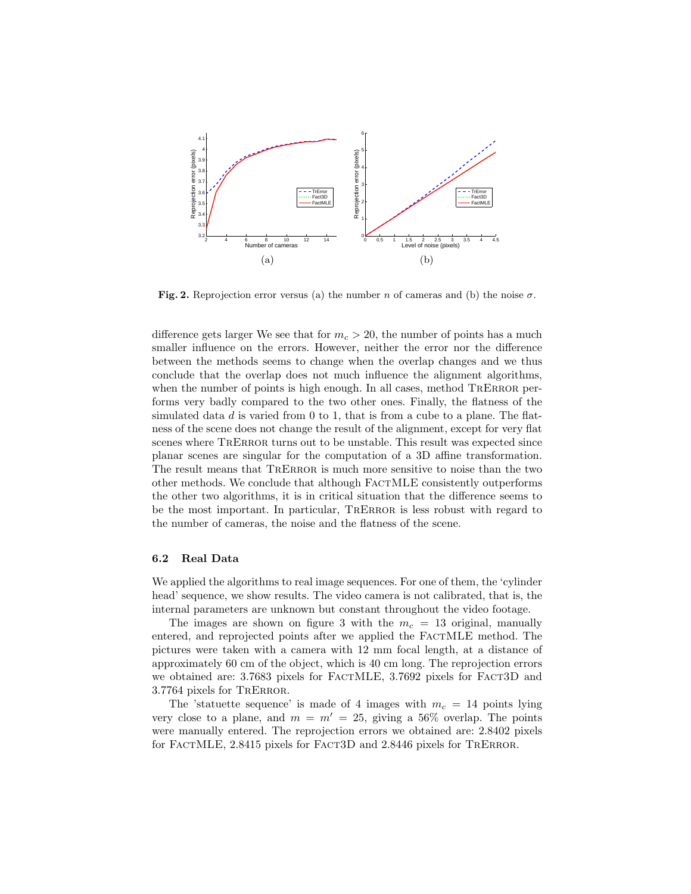

Fig. 2. Reprojection error versus (a) the number n of cameras and (b) the noise  $\sigma$ .

difference gets larger We see that for  $m_c > 20$ , the number of points has a much smaller influence on the errors. However, neither the error nor the difference between the methods seems to change when the overlap changes and we thus conclude that the overlap does not much influence the alignment algorithms, when the number of points is high enough. In all cases, method TRERROR performs very badly compared to the two other ones. Finally, the flatness of the simulated data  $d$  is varied from 0 to 1, that is from a cube to a plane. The flatness of the scene does not change the result of the alignment, except for very flat scenes where TRERROR turns out to be unstable. This result was expected since planar scenes are singular for the computation of a 3D affine transformation. The result means that TRERROR is much more sensitive to noise than the two other methods. We conclude that although FactMLE consistently outperforms the other two algorithms, it is in critical situation that the difference seems to be the most important. In particular, TRERROR is less robust with regard to the number of cameras, the noise and the flatness of the scene.

#### 6.2 Real Data

We applied the algorithms to real image sequences. For one of them, the 'cylinder head' sequence, we show results. The video camera is not calibrated, that is, the internal parameters are unknown but constant throughout the video footage.

The images are shown on figure 3 with the  $m_c = 13$  original, manually entered, and reprojected points after we applied the FactMLE method. The pictures were taken with a camera with 12 mm focal length, at a distance of approximately 60 cm of the object, which is 40 cm long. The reprojection errors we obtained are: 3.7683 pixels for FACTMLE, 3.7692 pixels for FACT3D and 3.7764 pixels for TrError.

The 'statuette sequence' is made of 4 images with  $m_c = 14$  points lying very close to a plane, and  $m = m' = 25$ , giving a 56% overlap. The points were manually entered. The reprojection errors we obtained are: 2.8402 pixels for FACTMLE, 2.8415 pixels for FACT3D and 2.8446 pixels for TRERROR.